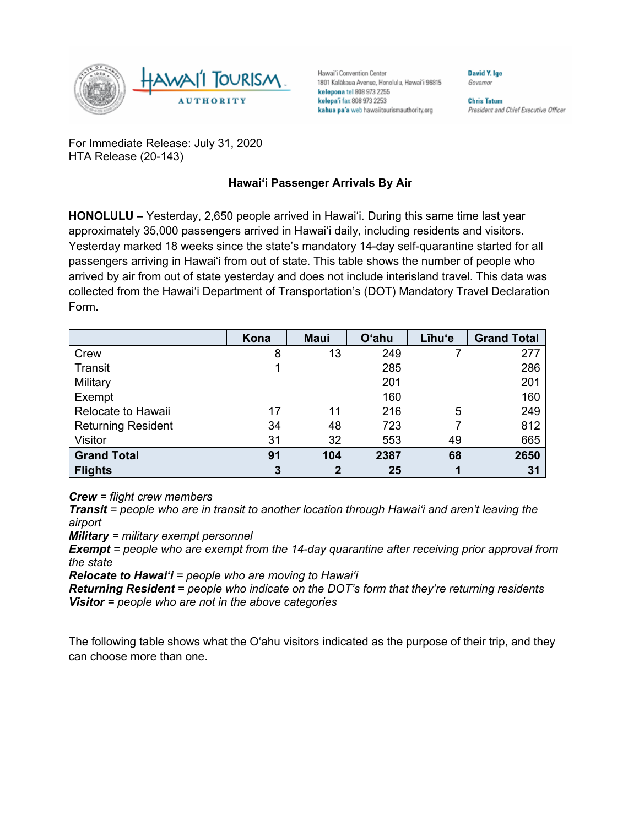

Hawai'i Convention Center 1801 Kalākaua Avenue, Honolulu, Hawai'i 96815 kelepona tel 808 973 2255 kelepa'i fax 808 973 2253 kahua pa'a web hawaiitourismauthority.org

Governor

David Y. Ige

**Chris Tatum** President and Chief Executive Officer

For Immediate Release: July 31, 2020 HTA Release (20-143)

## **Hawai'i Passenger Arrivals By Air**

**HONOLULU –** Yesterday, 2,650 people arrived in Hawai'i. During this same time last year approximately 35,000 passengers arrived in Hawai'i daily, including residents and visitors. Yesterday marked 18 weeks since the state's mandatory 14-day self-quarantine started for all passengers arriving in Hawai'i from out of state. This table shows the number of people who arrived by air from out of state yesterday and does not include interisland travel. This data was collected from the Hawai'i Department of Transportation's (DOT) Mandatory Travel Declaration Form.

|                           | Kona | <b>Maui</b> | <b>O'ahu</b> | Līhu'e | <b>Grand Total</b> |
|---------------------------|------|-------------|--------------|--------|--------------------|
| Crew                      | 8    | 13          | 249          |        | 277                |
| Transit                   |      |             | 285          |        | 286                |
| Military                  |      |             | 201          |        | 201                |
| Exempt                    |      |             | 160          |        | 160                |
| Relocate to Hawaii        | 17   | 11          | 216          | 5      | 249                |
| <b>Returning Resident</b> | 34   | 48          | 723          |        | 812                |
| Visitor                   | 31   | 32          | 553          | 49     | 665                |
| <b>Grand Total</b>        | 91   | 104         | 2387         | 68     | 2650               |
| <b>Flights</b>            | 3    | 2           | 25           |        | 31                 |

*Crew = flight crew members*

*Transit = people who are in transit to another location through Hawai'i and aren't leaving the airport*

*Military = military exempt personnel*

*Exempt = people who are exempt from the 14-day quarantine after receiving prior approval from the state*

*Relocate to Hawai'i = people who are moving to Hawai'i*

*Returning Resident = people who indicate on the DOT's form that they're returning residents Visitor = people who are not in the above categories*

The following table shows what the O'ahu visitors indicated as the purpose of their trip, and they can choose more than one.